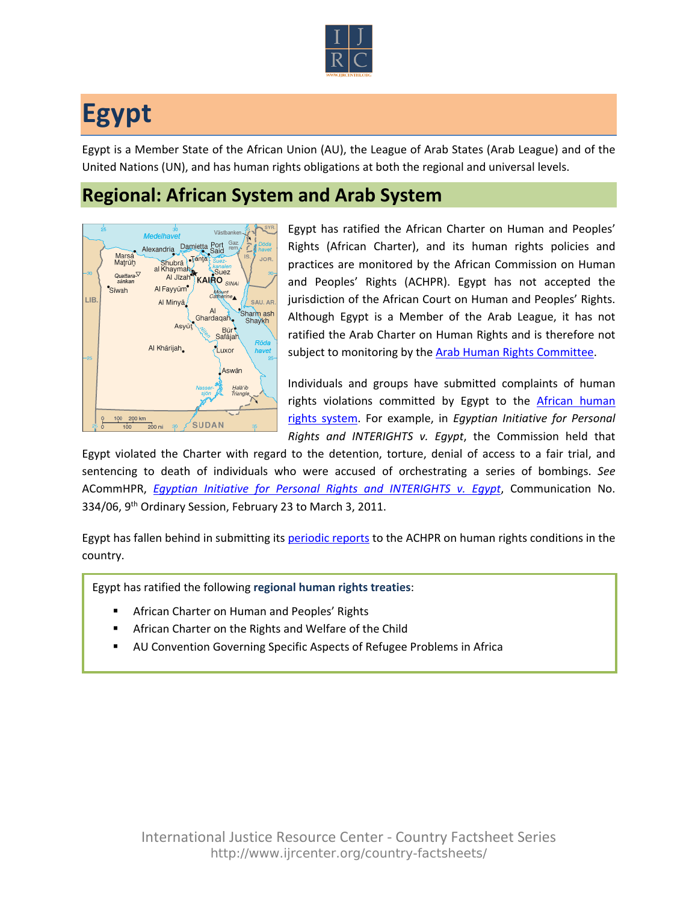

## **Egypt**

Egypt is a Member State of the African Union (AU), the League of Arab States (Arab League) and of the United Nations (UN), and has human rights obligations at both the regional and universal levels.

## **Regional: African System and Arab System**



Egypt has ratified the African Charter on Human and Peoples' Rights (African Charter), and its human rights policies and practices are monitored by the African Commission on Human and Peoples' Rights (ACHPR). Egypt has not accepted the jurisdiction of the African Court on Human and Peoples' Rights. Although Egypt is a Member of the Arab League, it has not ratified the Arab Charter on Human Rights and is therefore not subject to monitoring by the [Arab Human Rights Committee](http://www.ijrcenter.org/regional/middle-east-and-north-africa/).

Individuals and groups have submitted complaints of human rights violations committed by Egypt to the African human [rights system.](http://www.ijrcenter.org/regional/african/) For example, in *Egyptian Initiative for Personal Rights and INTERIGHTS v. Egypt*, the Commission held that

Egypt violated the Charter with regard to the detention, torture, denial of access to a fair trial, and sentencing to death of individuals who were accused of orchestrating a series of bombings. *See* ACommHPR, *[Egyptian Initiative for Personal Rights and INTERIGHTS v. Egypt](http://www.achpr.org/files/sessions/9th-eo/comunications/334.06_/achpreos9_334_06_eng.pdf)*, Communication No. 334/06, 9th Ordinary Session, February 23 to March 3, 2011.

Egypt has fallen behind in submitting its [periodic reports](http://www.achpr.org/states/egypt/) to the ACHPR on human rights conditions in the country.

Egypt has ratified the following **regional human rights treaties**:

- African Charter on Human and Peoples' Rights
- African Charter on the Rights and Welfare of the Child
- AU Convention Governing Specific Aspects of Refugee Problems in Africa